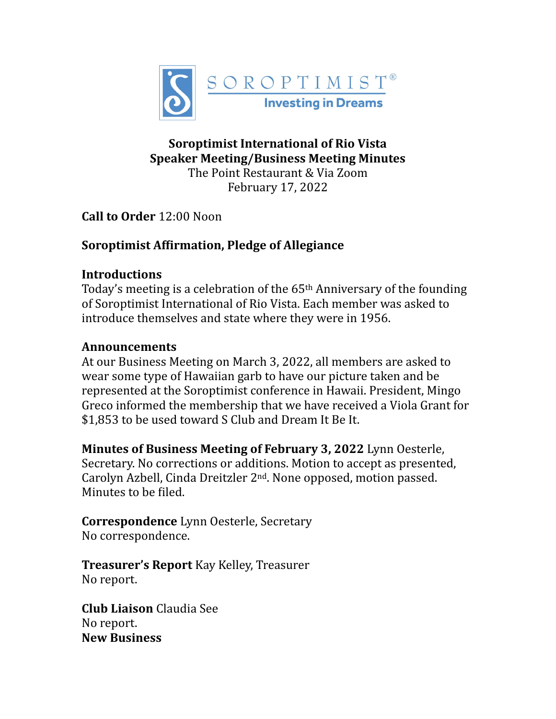

### **Soroptimist International of Rio Vista Speaker Meeting/Business Meeting Minutes**

The Point Restaurant & Via Zoom February 17, 2022

**Call to Order 12:00 Noon** 

# **Soroptimist Affirmation, Pledge of Allegiance**

### **Introductions**

Today's meeting is a celebration of the  $65<sup>th</sup>$  Anniversary of the founding of Soroptimist International of Rio Vista. Each member was asked to introduce themselves and state where they were in 1956.

### **Announcements**

At our Business Meeting on March 3, 2022, all members are asked to wear some type of Hawaiian garb to have our picture taken and be represented at the Soroptimist conference in Hawaii. President, Mingo Greco informed the membership that we have received a Viola Grant for \$1,853 to be used toward S Club and Dream It Be It.

**Minutes of Business Meeting of February 3, 2022** Lynn Oesterle, Secretary. No corrections or additions. Motion to accept as presented, Carolyn Azbell, Cinda Dreitzler  $2<sup>nd</sup>$ . None opposed, motion passed. Minutes to be filed.

**Correspondence** Lynn Oesterle, Secretary No correspondence.

**Treasurer's Report** Kay Kelley, Treasurer No report.

**Club Liaison** Claudia See No report. **New Business**